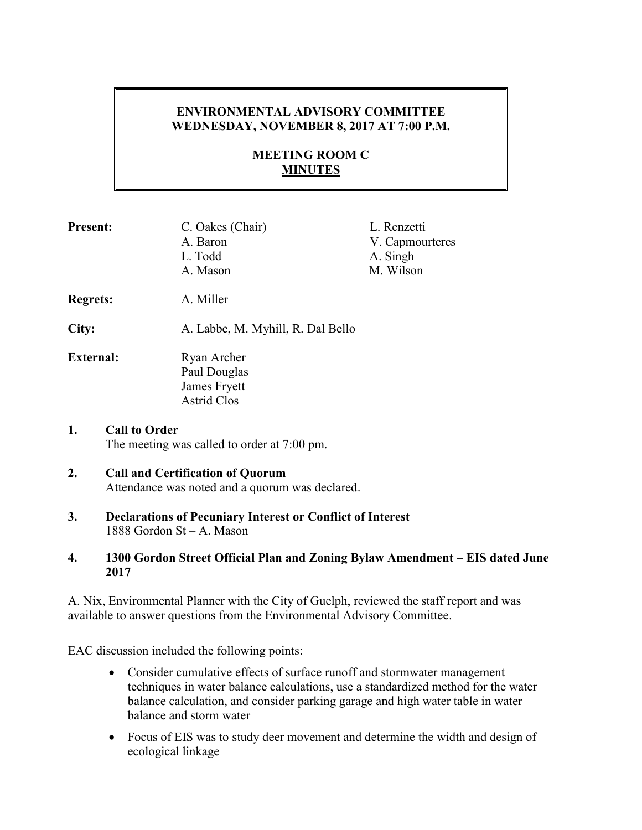## **ENVIRONMENTAL ADVISORY COMMITTEE WEDNESDAY, NOVEMBER 8, 2017 AT 7:00 P.M.**

# **MEETING ROOM C MINUTES**

| <b>Present:</b>                                                           | C. Oakes (Chair)<br>A. Baron<br>L. Todd<br>A. Mason               | L. Renzetti<br>V. Capmourteres<br>A. Singh<br>M. Wilson |
|---------------------------------------------------------------------------|-------------------------------------------------------------------|---------------------------------------------------------|
| <b>Regrets:</b>                                                           | A. Miller                                                         |                                                         |
| City:                                                                     | A. Labbe, M. Myhill, R. Dal Bello                                 |                                                         |
| <b>External:</b>                                                          | Ryan Archer<br>Paul Douglas<br>James Fryett<br><b>Astrid Clos</b> |                                                         |
| 1.<br><b>Call to Order</b><br>The meeting was called to order at 7:00 pm. |                                                                   |                                                         |

## **2. Call and Certification of Quorum**  Attendance was noted and a quorum was declared.

**3. Declarations of Pecuniary Interest or Conflict of Interest**  1888 Gordon St – A. Mason

### **4. 1300 Gordon Street Official Plan and Zoning Bylaw Amendment – EIS dated June 2017**

A. Nix, Environmental Planner with the City of Guelph, reviewed the staff report and was available to answer questions from the Environmental Advisory Committee.

EAC discussion included the following points:

- Consider cumulative effects of surface runoff and stormwater management techniques in water balance calculations, use a standardized method for the water balance calculation, and consider parking garage and high water table in water balance and storm water
- Focus of EIS was to study deer movement and determine the width and design of ecological linkage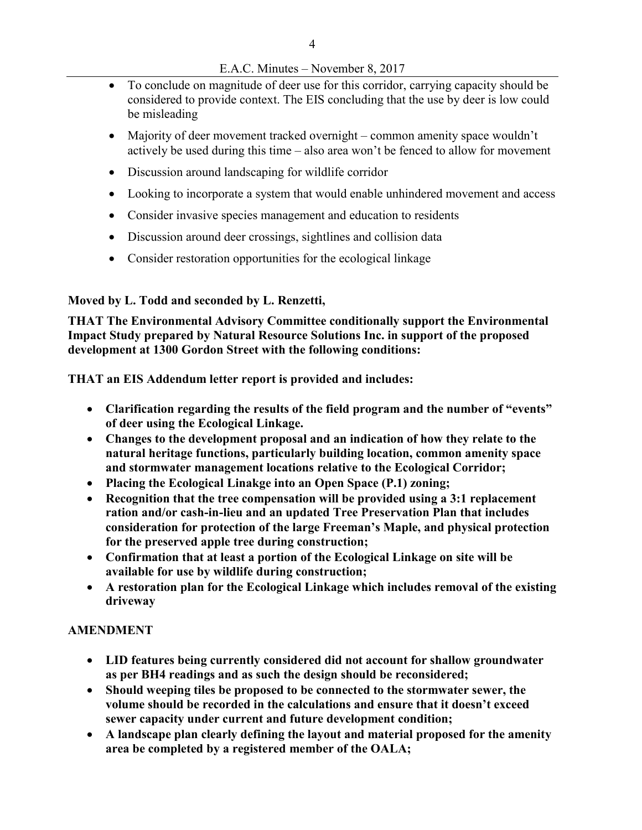### E.A.C. Minutes – November 8, 2017

- To conclude on magnitude of deer use for this corridor, carrying capacity should be considered to provide context. The EIS concluding that the use by deer is low could be misleading
- Majority of deer movement tracked overnight common amenity space wouldn't actively be used during this time – also area won't be fenced to allow for movement
- Discussion around landscaping for wildlife corridor
- Looking to incorporate a system that would enable unhindered movement and access
- Consider invasive species management and education to residents
- Discussion around deer crossings, sightlines and collision data
- Consider restoration opportunities for the ecological linkage

## **Moved by L. Todd and seconded by L. Renzetti,**

**THAT The Environmental Advisory Committee conditionally support the Environmental Impact Study prepared by Natural Resource Solutions Inc. in support of the proposed development at 1300 Gordon Street with the following conditions:** 

**THAT an EIS Addendum letter report is provided and includes:** 

- **Clarification regarding the results of the field program and the number of "events" of deer using the Ecological Linkage.**
- **Changes to the development proposal and an indication of how they relate to the natural heritage functions, particularly building location, common amenity space and stormwater management locations relative to the Ecological Corridor;**
- **Placing the Ecological Linakge into an Open Space (P.1) zoning;**
- **Recognition that the tree compensation will be provided using a 3:1 replacement ration and/or cash-in-lieu and an updated Tree Preservation Plan that includes consideration for protection of the large Freeman's Maple, and physical protection for the preserved apple tree during construction;**
- **Confirmation that at least a portion of the Ecological Linkage on site will be available for use by wildlife during construction;**
- **A restoration plan for the Ecological Linkage which includes removal of the existing driveway**

# **AMENDMENT**

- **LID features being currently considered did not account for shallow groundwater as per BH4 readings and as such the design should be reconsidered;**
- **Should weeping tiles be proposed to be connected to the stormwater sewer, the volume should be recorded in the calculations and ensure that it doesn't exceed sewer capacity under current and future development condition;**
- **A landscape plan clearly defining the layout and material proposed for the amenity area be completed by a registered member of the OALA;**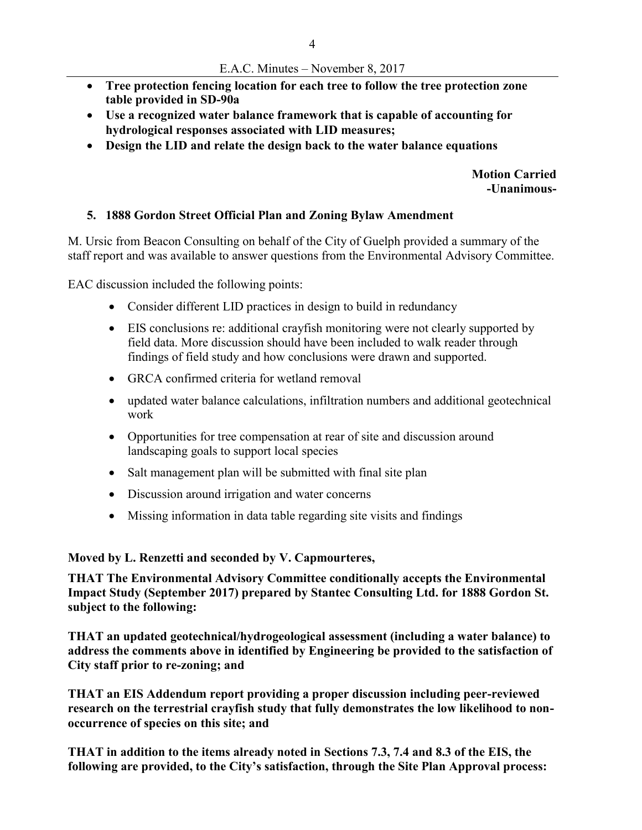- **Tree protection fencing location for each tree to follow the tree protection zone table provided in SD-90a**
- **Use a recognized water balance framework that is capable of accounting for hydrological responses associated with LID measures;**
- **Design the LID and relate the design back to the water balance equations**

**Motion Carried -Unanimous-**

#### **5. 1888 Gordon Street Official Plan and Zoning Bylaw Amendment**

M. Ursic from Beacon Consulting on behalf of the City of Guelph provided a summary of the staff report and was available to answer questions from the Environmental Advisory Committee.

EAC discussion included the following points:

- Consider different LID practices in design to build in redundancy
- EIS conclusions re: additional crayfish monitoring were not clearly supported by field data. More discussion should have been included to walk reader through findings of field study and how conclusions were drawn and supported.
- GRCA confirmed criteria for wetland removal
- updated water balance calculations, infiltration numbers and additional geotechnical work
- Opportunities for tree compensation at rear of site and discussion around landscaping goals to support local species
- Salt management plan will be submitted with final site plan
- Discussion around irrigation and water concerns
- Missing information in data table regarding site visits and findings

**Moved by L. Renzetti and seconded by V. Capmourteres,** 

**THAT The Environmental Advisory Committee conditionally accepts the Environmental Impact Study (September 2017) prepared by Stantec Consulting Ltd. for 1888 Gordon St. subject to the following:** 

**THAT an updated geotechnical/hydrogeological assessment (including a water balance) to address the comments above in identified by Engineering be provided to the satisfaction of City staff prior to re-zoning; and** 

**THAT an EIS Addendum report providing a proper discussion including peer-reviewed research on the terrestrial crayfish study that fully demonstrates the low likelihood to nonoccurrence of species on this site; and** 

**THAT in addition to the items already noted in Sections 7.3, 7.4 and 8.3 of the EIS, the following are provided, to the City's satisfaction, through the Site Plan Approval process:**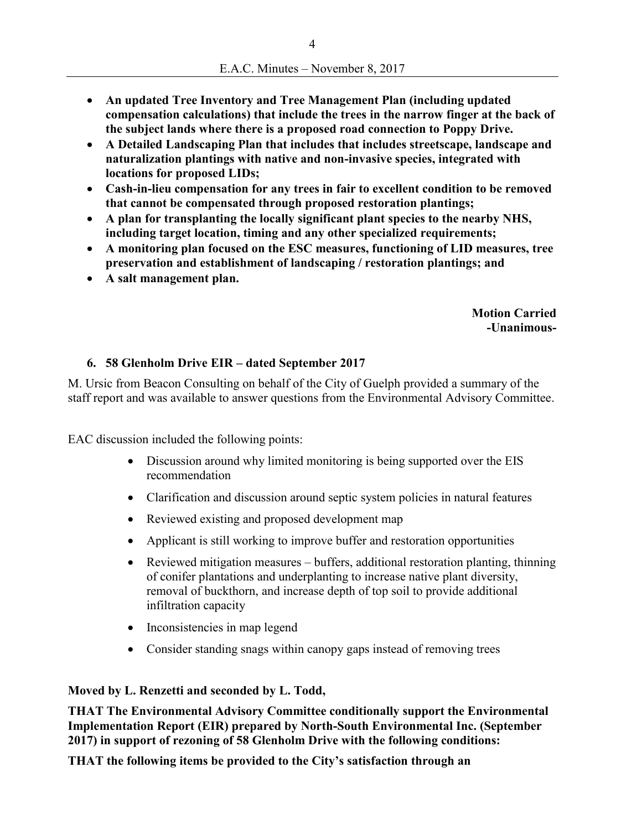- **An updated Tree Inventory and Tree Management Plan (including updated compensation calculations) that include the trees in the narrow finger at the back of the subject lands where there is a proposed road connection to Poppy Drive.**
- **A Detailed Landscaping Plan that includes that includes streetscape, landscape and naturalization plantings with native and non-invasive species, integrated with locations for proposed LIDs;**
- **Cash-in-lieu compensation for any trees in fair to excellent condition to be removed that cannot be compensated through proposed restoration plantings;**
- **A plan for transplanting the locally significant plant species to the nearby NHS, including target location, timing and any other specialized requirements;**
- **A monitoring plan focused on the ESC measures, functioning of LID measures, tree preservation and establishment of landscaping / restoration plantings; and**
- **A salt management plan.**

**Motion Carried -Unanimous-**

## **6. 58 Glenholm Drive EIR – dated September 2017**

M. Ursic from Beacon Consulting on behalf of the City of Guelph provided a summary of the staff report and was available to answer questions from the Environmental Advisory Committee.

EAC discussion included the following points:

- Discussion around why limited monitoring is being supported over the EIS recommendation
- Clarification and discussion around septic system policies in natural features
- Reviewed existing and proposed development map
- Applicant is still working to improve buffer and restoration opportunities
- Reviewed mitigation measures buffers, additional restoration planting, thinning of conifer plantations and underplanting to increase native plant diversity, removal of buckthorn, and increase depth of top soil to provide additional infiltration capacity
- Inconsistencies in map legend
- Consider standing snags within canopy gaps instead of removing trees

## **Moved by L. Renzetti and seconded by L. Todd,**

**THAT The Environmental Advisory Committee conditionally support the Environmental Implementation Report (EIR) prepared by North-South Environmental Inc. (September 2017) in support of rezoning of 58 Glenholm Drive with the following conditions:** 

**THAT the following items be provided to the City's satisfaction through an**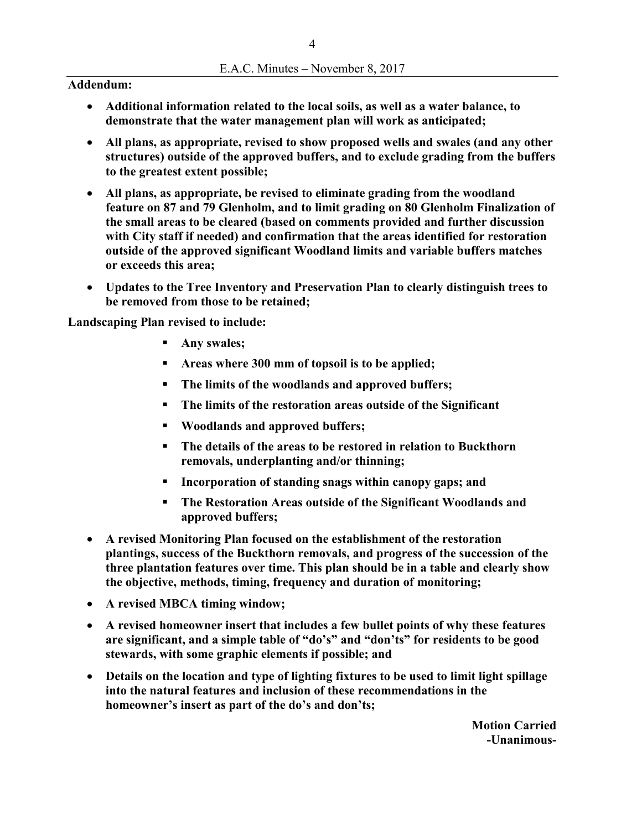#### **Addendum:**

- **Additional information related to the local soils, as well as a water balance, to demonstrate that the water management plan will work as anticipated;**
- **All plans, as appropriate, revised to show proposed wells and swales (and any other structures) outside of the approved buffers, and to exclude grading from the buffers to the greatest extent possible;**
- **All plans, as appropriate, be revised to eliminate grading from the woodland feature on 87 and 79 Glenholm, and to limit grading on 80 Glenholm Finalization of the small areas to be cleared (based on comments provided and further discussion with City staff if needed) and confirmation that the areas identified for restoration outside of the approved significant Woodland limits and variable buffers matches or exceeds this area;**
- **Updates to the Tree Inventory and Preservation Plan to clearly distinguish trees to be removed from those to be retained;**

**Landscaping Plan revised to include:** 

- **Any swales;**
- **Areas where 300 mm of topsoil is to be applied;**
- **The limits of the woodlands and approved buffers;**
- **The limits of the restoration areas outside of the Significant**
- **Woodlands and approved buffers;**
- **The details of the areas to be restored in relation to Buckthorn removals, underplanting and/or thinning;**
- **Incorporation of standing snags within canopy gaps; and**
- **The Restoration Areas outside of the Significant Woodlands and approved buffers;**
- **A revised Monitoring Plan focused on the establishment of the restoration plantings, success of the Buckthorn removals, and progress of the succession of the three plantation features over time. This plan should be in a table and clearly show the objective, methods, timing, frequency and duration of monitoring;**
- **A revised MBCA timing window;**
- **A revised homeowner insert that includes a few bullet points of why these features are significant, and a simple table of "do's" and "don'ts" for residents to be good stewards, with some graphic elements if possible; and**
- **Details on the location and type of lighting fixtures to be used to limit light spillage into the natural features and inclusion of these recommendations in the homeowner's insert as part of the do's and don'ts;**

**Motion Carried -Unanimous-**